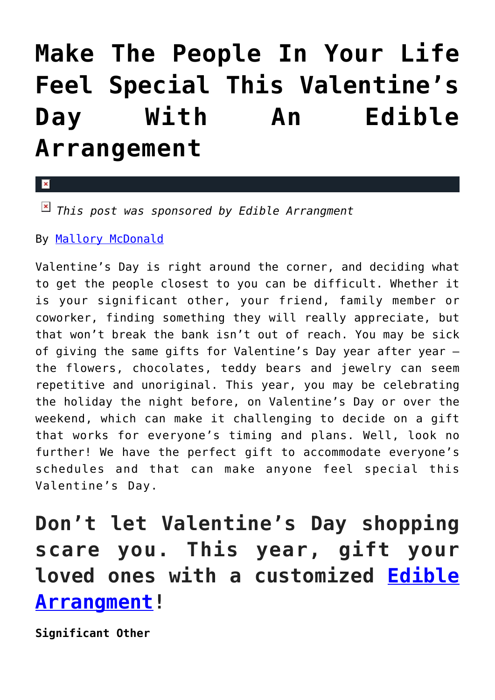## **[Make The People In Your Life](https://cupidspulse.com/116484/people-in-your-life-feel-special-valentines-day-edible-arrangement/) [Feel Special This Valentine's](https://cupidspulse.com/116484/people-in-your-life-feel-special-valentines-day-edible-arrangement/) [Day With An Edible](https://cupidspulse.com/116484/people-in-your-life-feel-special-valentines-day-edible-arrangement/) [Arrangement](https://cupidspulse.com/116484/people-in-your-life-feel-special-valentines-day-edible-arrangement/)**

 $\mathbf{\overline{x}}$ 

*This post was sponsored by Edible Arrangment* 

By [Mallory McDonald](http://cupidspulse.com/114888/mallory-mcdonald/)

Valentine's Day is right around the corner, and deciding what to get the people closest to you can be difficult. Whether it is your significant other, your friend, family member or coworker, finding something they will really appreciate, but that won't break the bank isn't out of reach. You may be sick of giving the same gifts for Valentine's Day year after year the flowers, chocolates, teddy bears and jewelry can seem repetitive and unoriginal. This year, you may be celebrating the holiday the night before, on Valentine's Day or over the weekend, which can make it challenging to decide on a gift that works for everyone's timing and plans. Well, look no further! We have the perfect gift to accommodate everyone's schedules and that can make anyone feel special this Valentine's Day.

**Don't let Valentine's Day shopping scare you. This year, gift your loved ones with a customized [Edible](https://www.ediblearrangements.com/valentines-day-gifts?utm_source=CupidsPulse) [Arrangment!](https://www.ediblearrangements.com/valentines-day-gifts?utm_source=CupidsPulse)**

**Significant Other**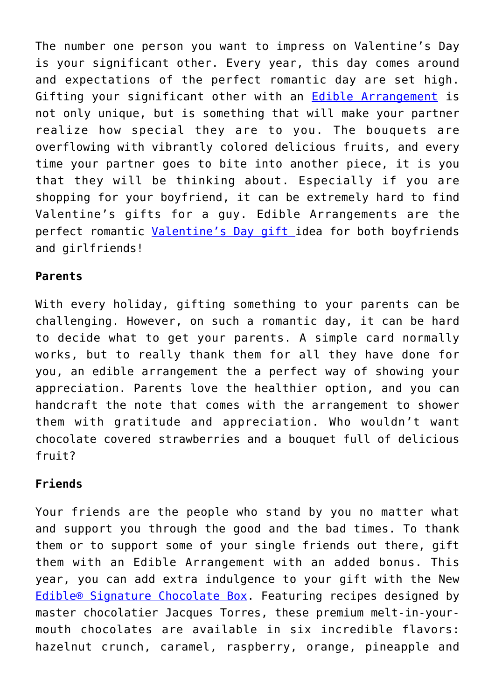The number one person you want to impress on Valentine's Day is your significant other. Every year, this day comes around and expectations of the perfect romantic day are set high. Gifting your significant other with an [Edible Arrangement](https://www.ediblearrangements.com?utm_source=BTB&utm_campaign=cupidspulse) is not only unique, but is something that will make your partner realize how special they are to you. The bouquets are overflowing with vibrantly colored delicious fruits, and every time your partner goes to bite into another piece, it is you that they will be thinking about. Especially if you are shopping for your boyfriend, it can be extremely hard to find Valentine's gifts for a guy. Edible Arrangements are the perfect romantic [Valentine's Day gift](https://www.ediblearrangements.com/valentines-day-gifts??utm_source=BTB&utm_campaign=cupidspulse) idea for both boyfriends and girlfriends!

## **Parents**

With every holiday, gifting something to your parents can be challenging. However, on such a romantic day, it can be hard to decide what to get your parents. A simple card normally works, but to really thank them for all they have done for you, an edible arrangement the a perfect way of showing your appreciation. Parents love the healthier option, and you can handcraft the note that comes with the arrangement to shower them with gratitude and appreciation. Who wouldn't want chocolate covered strawberries and a bouquet full of delicious fruit?

## **Friends**

Your friends are the people who stand by you no matter what and support you through the good and the bad times. To thank them or to support some of your single friends out there, gift them with an Edible Arrangement with an added bonus. This year, you can add extra indulgence to your gift with the New [Edible® Signature Chocolate Box.](https://www.ediblearrangements.com/fruit-gifts/chocolate-box-4678?t=1485896316530?utm_source=BTB&utm_campaign=cupidspulse) Featuring recipes designed by master chocolatier Jacques Torres, these premium melt-in-yourmouth chocolates are available in six incredible flavors: hazelnut crunch, caramel, raspberry, orange, pineapple and